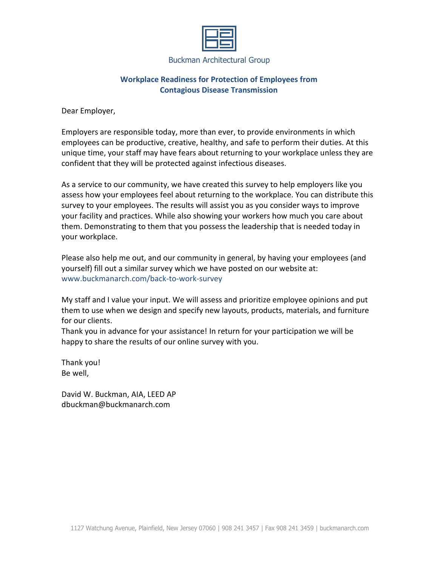## **Workplace Readiness for Protection of Employees from Contagious Disease Transmission**

Dear Employer,

Employers are responsible today, more than ever, to provide environments in which employees can be productive, creative, healthy, and safe to perform their duties. At this unique time, your staff may have fears about returning to your workplace unless they are confident that they will be protected against infectious diseases.

As a service to our community, we have created this survey to help employers like you assess how your employees feel about returning to the workplace. You can distribute this survey to your employees. The results will assist you as you consider ways to improve your facility and practices. While also showing your workers how much you care about them. Demonstrating to them that you possess the leadership that is needed today in your workplace.

Please also help me out, and our community in general, by having your employees (and yourself) fill out a similar survey which we have posted on our website at: www.buckmanarch.com/back-to-work-survey

My staff and I value your input. We will assess and prioritize employee opinions and put them to use when we design and specify new layouts, products, materials, and furniture for our clients.

Thank you in advance for your assistance! In return for your participation we will be happy to share the results of our online survey with you.

Thank you! Be well,

David W. Buckman, AIA, LEED AP dbuckman@buckmanarch.com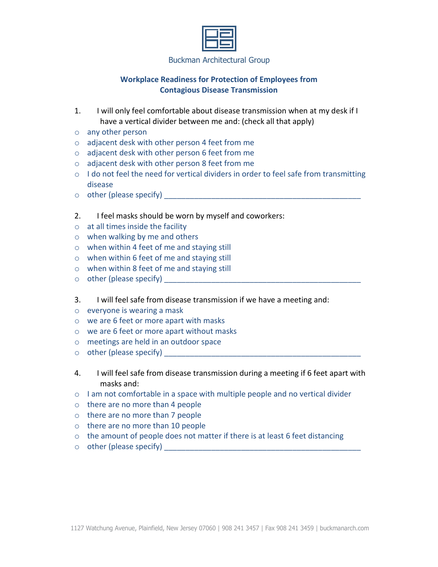# **Workplace Readiness for Protection of Employees from Contagious Disease Transmission**

- 1. I will only feel comfortable about disease transmission when at my desk if I have a vertical divider between me and: (check all that apply)
- o any other person
- o adjacent desk with other person 4 feet from me
- o adjacent desk with other person 6 feet from me
- o adjacent desk with other person 8 feet from me
- o I do not feel the need for vertical dividers in order to feel safe from transmitting disease
- o other (please specify) \_\_\_\_\_\_\_\_\_\_\_\_\_\_\_\_\_\_\_\_\_\_\_\_\_\_\_\_\_\_\_\_\_\_\_\_\_\_\_\_\_\_\_\_\_\_
- 2. I feel masks should be worn by myself and coworkers:
- $\circ$  at all times inside the facility
- o when walking by me and others
- o when within 4 feet of me and staying still
- o when within 6 feet of me and staying still
- o when within 8 feet of me and staying still
- $\circ$  other (please specify)
- 3. I will feel safe from disease transmission if we have a meeting and:
- o everyone is wearing a mask
- o we are 6 feet or more apart with masks
- o we are 6 feet or more apart without masks
- o meetings are held in an outdoor space
- o other (please specify) \_\_\_\_\_\_\_\_\_\_\_\_\_\_\_\_\_\_\_\_\_\_\_\_\_\_\_\_\_\_\_\_\_\_\_\_\_\_\_\_\_\_\_\_\_\_
- 4. I will feel safe from disease transmission during a meeting if 6 feet apart with masks and:
- $\circ$  I am not comfortable in a space with multiple people and no vertical divider
- o there are no more than 4 people
- o there are no more than 7 people
- o there are no more than 10 people
- $\circ$  the amount of people does not matter if there is at least 6 feet distancing
- $\circ$  other (please specify)  $\circ$  and  $\circ$  and  $\circ$  and  $\circ$  and  $\circ$  and  $\circ$  and  $\circ$  and  $\circ$  and  $\circ$  and  $\circ$  and  $\circ$  and  $\circ$  and  $\circ$  and  $\circ$  and  $\circ$  and  $\circ$  and  $\circ$  and  $\circ$  and  $\circ$  and  $\circ$  and  $\circ$  and  $\circ$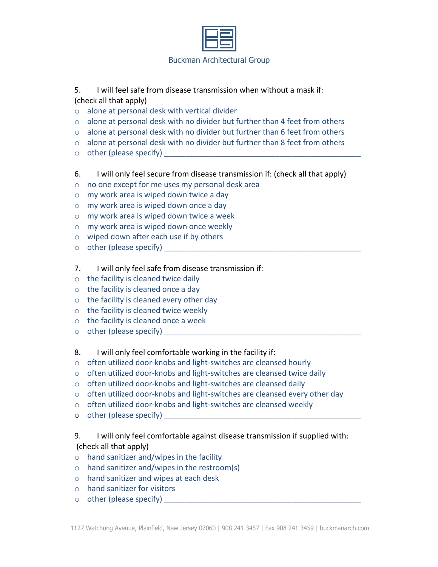

- 5. I will feel safe from disease transmission when without a mask if: (check all that apply)
- o alone at personal desk with vertical divider
- $\circ$  alone at personal desk with no divider but further than 4 feet from others
- $\circ$  alone at personal desk with no divider but further than 6 feet from others
- $\circ$  alone at personal desk with no divider but further than 8 feet from others
- $\circ$  other (please specify)
- 6. I will only feel secure from disease transmission if: (check all that apply)
- o no one except for me uses my personal desk area
- o my work area is wiped down twice a day
- o my work area is wiped down once a day
- o my work area is wiped down twice a week
- o my work area is wiped down once weekly
- o wiped down after each use if by others
- $\circ$  other (please specify)
- 7. I will only feel safe from disease transmission if:
- o the facility is cleaned twice daily
- $\circ$  the facility is cleaned once a day
- o the facility is cleaned every other day
- $\circ$  the facility is cleaned twice weekly
- o the facility is cleaned once a week
- $\circ$  other (please specify)
- 8. I will only feel comfortable working in the facility if:
- o often utilized door-knobs and light-switches are cleansed hourly
- o often utilized door-knobs and light-switches are cleansed twice daily
- o often utilized door-knobs and light-switches are cleansed daily
- $\circ$  often utilized door-knobs and light-switches are cleansed every other day
- o often utilized door-knobs and light-switches are cleansed weekly
- $\circ$  other (please specify)
- 9. I will only feel comfortable against disease transmission if supplied with: (check all that apply)
- o hand sanitizer and/wipes in the facility
- o hand sanitizer and/wipes in the restroom(s)
- o hand sanitizer and wipes at each desk
- o hand sanitizer for visitors
- $\circ$  other (please specify)